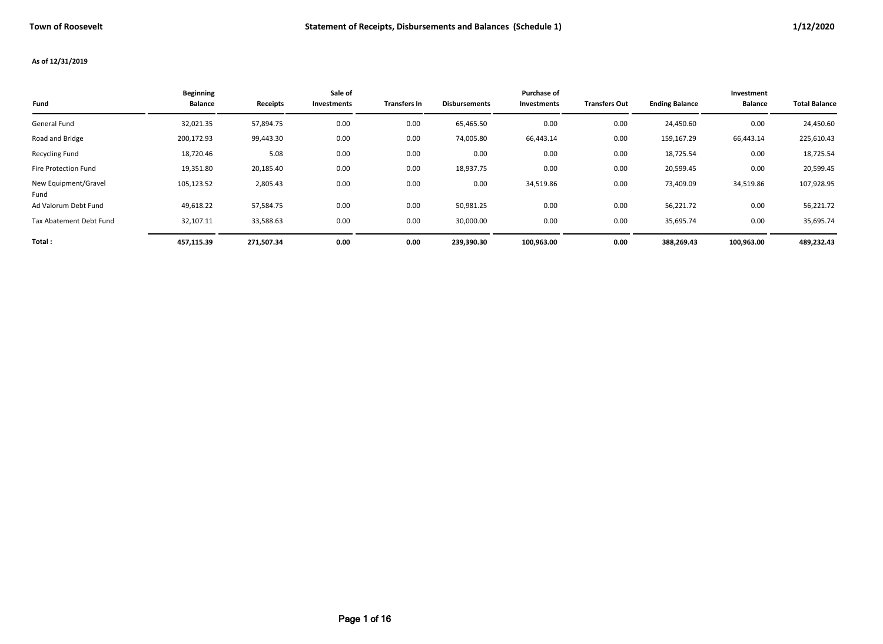#### **As of 12/31/2019**

| Fund                         | <b>Beginning</b><br><b>Balance</b> | Receipts   | Sale of<br>Investments | <b>Transfers In</b> | <b>Disbursements</b> | Purchase of<br><b>Investments</b> | <b>Transfers Out</b> | <b>Ending Balance</b> | Investment<br><b>Balance</b> | <b>Total Balance</b> |
|------------------------------|------------------------------------|------------|------------------------|---------------------|----------------------|-----------------------------------|----------------------|-----------------------|------------------------------|----------------------|
| General Fund                 | 32,021.35                          | 57,894.75  | 0.00                   | 0.00                | 65,465.50            | 0.00                              | 0.00                 | 24,450.60             | 0.00                         | 24,450.60            |
| Road and Bridge              | 200,172.93                         | 99,443.30  | 0.00                   | 0.00                | 74,005.80            | 66,443.14                         | 0.00                 | 159,167.29            | 66,443.14                    | 225,610.43           |
| <b>Recycling Fund</b>        | 18,720.46                          | 5.08       | 0.00                   | 0.00                | 0.00                 | 0.00                              | 0.00                 | 18,725.54             | 0.00                         | 18,725.54            |
| Fire Protection Fund         | 19,351.80                          | 20,185.40  | 0.00                   | 0.00                | 18,937.75            | 0.00                              | 0.00                 | 20,599.45             | 0.00                         | 20,599.45            |
| New Equipment/Gravel<br>Fund | 105,123.52                         | 2,805.43   | 0.00                   | 0.00                | 0.00                 | 34,519.86                         | 0.00                 | 73,409.09             | 34,519.86                    | 107,928.95           |
| Ad Valorum Debt Fund         | 49,618.22                          | 57,584.75  | 0.00                   | 0.00                | 50,981.25            | 0.00                              | 0.00                 | 56,221.72             | 0.00                         | 56,221.72            |
| Tax Abatement Debt Fund      | 32,107.11                          | 33,588.63  | 0.00                   | 0.00                | 30,000.00            | 0.00                              | 0.00                 | 35,695.74             | 0.00                         | 35,695.74            |
| Total:                       | 457,115.39                         | 271,507.34 | 0.00                   | 0.00                | 239,390.30           | 100,963.00                        | 0.00                 | 388,269.43            | 100,963.00                   | 489,232.43           |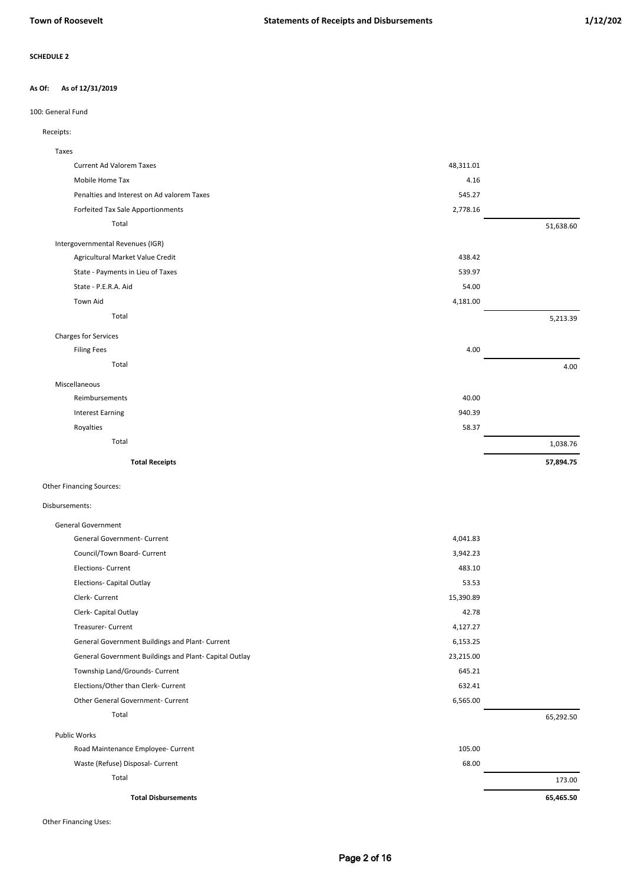#### **As of 12/31/2019 As Of:**

## 100: General Fund

## Receipts:

| <b>Current Ad Valorem Taxes</b><br>48,311.01<br>Mobile Home Tax<br>4.16<br>Penalties and Interest on Ad valorem Taxes<br>545.27<br>Forfeited Tax Sale Apportionments<br>2,778.16<br>Total<br>51,638.60<br>Intergovernmental Revenues (IGR)<br>Agricultural Market Value Credit<br>438.42<br>State - Payments in Lieu of Taxes<br>539.97<br>State - P.E.R.A. Aid<br>54.00<br><b>Town Aid</b><br>4,181.00<br>Total<br>5,213.39<br><b>Charges for Services</b><br>4.00<br><b>Filing Fees</b><br>Total<br>4.00<br>Miscellaneous<br>40.00<br>Reimbursements<br><b>Interest Earning</b><br>940.39<br>Royalties<br>58.37<br>Total<br>1,038.76 | Taxes                 |           |
|----------------------------------------------------------------------------------------------------------------------------------------------------------------------------------------------------------------------------------------------------------------------------------------------------------------------------------------------------------------------------------------------------------------------------------------------------------------------------------------------------------------------------------------------------------------------------------------------------------------------------------------|-----------------------|-----------|
|                                                                                                                                                                                                                                                                                                                                                                                                                                                                                                                                                                                                                                        |                       |           |
|                                                                                                                                                                                                                                                                                                                                                                                                                                                                                                                                                                                                                                        |                       |           |
|                                                                                                                                                                                                                                                                                                                                                                                                                                                                                                                                                                                                                                        |                       |           |
|                                                                                                                                                                                                                                                                                                                                                                                                                                                                                                                                                                                                                                        |                       |           |
|                                                                                                                                                                                                                                                                                                                                                                                                                                                                                                                                                                                                                                        |                       |           |
|                                                                                                                                                                                                                                                                                                                                                                                                                                                                                                                                                                                                                                        |                       |           |
|                                                                                                                                                                                                                                                                                                                                                                                                                                                                                                                                                                                                                                        |                       |           |
|                                                                                                                                                                                                                                                                                                                                                                                                                                                                                                                                                                                                                                        |                       |           |
|                                                                                                                                                                                                                                                                                                                                                                                                                                                                                                                                                                                                                                        |                       |           |
|                                                                                                                                                                                                                                                                                                                                                                                                                                                                                                                                                                                                                                        |                       |           |
|                                                                                                                                                                                                                                                                                                                                                                                                                                                                                                                                                                                                                                        |                       |           |
|                                                                                                                                                                                                                                                                                                                                                                                                                                                                                                                                                                                                                                        |                       |           |
|                                                                                                                                                                                                                                                                                                                                                                                                                                                                                                                                                                                                                                        |                       |           |
|                                                                                                                                                                                                                                                                                                                                                                                                                                                                                                                                                                                                                                        |                       |           |
|                                                                                                                                                                                                                                                                                                                                                                                                                                                                                                                                                                                                                                        |                       |           |
|                                                                                                                                                                                                                                                                                                                                                                                                                                                                                                                                                                                                                                        |                       |           |
|                                                                                                                                                                                                                                                                                                                                                                                                                                                                                                                                                                                                                                        |                       |           |
|                                                                                                                                                                                                                                                                                                                                                                                                                                                                                                                                                                                                                                        |                       |           |
|                                                                                                                                                                                                                                                                                                                                                                                                                                                                                                                                                                                                                                        |                       |           |
|                                                                                                                                                                                                                                                                                                                                                                                                                                                                                                                                                                                                                                        | <b>Total Receipts</b> | 57,894.75 |

## Other Financing Sources:

# Disbursements:

| <b>Total Disbursements</b>                             |           | 65,465.50 |
|--------------------------------------------------------|-----------|-----------|
| Total                                                  |           | 173.00    |
| Waste (Refuse) Disposal- Current                       | 68.00     |           |
| Road Maintenance Employee- Current                     | 105.00    |           |
| <b>Public Works</b>                                    |           |           |
| Total                                                  |           | 65,292.50 |
| <b>Other General Government- Current</b>               | 6,565.00  |           |
| Elections/Other than Clerk- Current                    | 632.41    |           |
| Township Land/Grounds- Current                         | 645.21    |           |
| General Government Buildings and Plant- Capital Outlay | 23,215.00 |           |
| General Government Buildings and Plant- Current        | 6,153.25  |           |
| <b>Treasurer- Current</b>                              | 4,127.27  |           |
| Clerk- Capital Outlay                                  | 42.78     |           |
| Clerk- Current                                         | 15,390.89 |           |
| <b>Elections- Capital Outlay</b>                       | 53.53     |           |
| <b>Elections- Current</b>                              | 483.10    |           |
| Council/Town Board- Current                            | 3,942.23  |           |
| <b>General Government- Current</b>                     | 4,041.83  |           |
| <b>General Government</b>                              |           |           |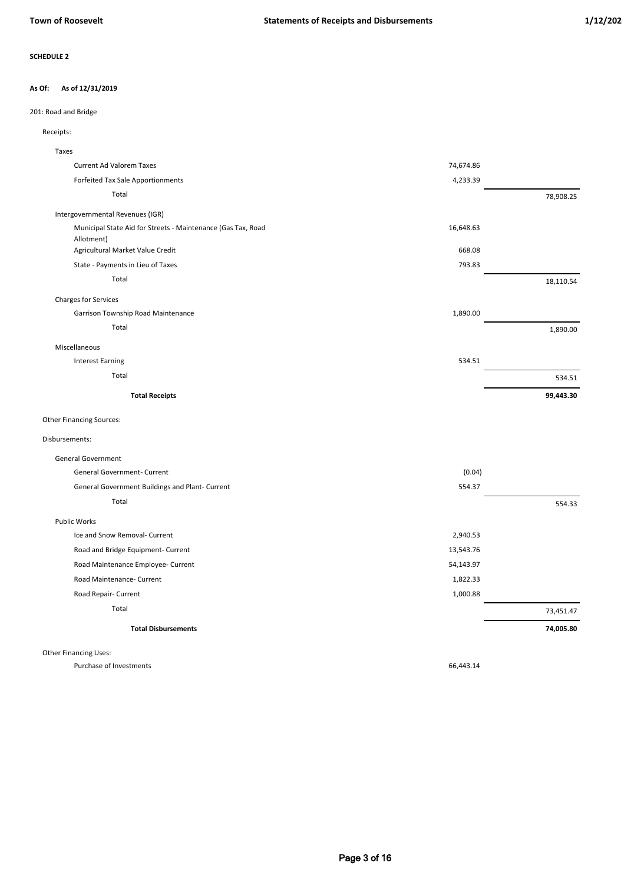### **As of 12/31/2019 As Of:**

## 201: Road and Bridge

## Receipts:

| Taxes                                                        |           |           |
|--------------------------------------------------------------|-----------|-----------|
| Current Ad Valorem Taxes                                     | 74,674.86 |           |
| Forfeited Tax Sale Apportionments                            | 4,233.39  |           |
| Total                                                        |           | 78,908.25 |
| Intergovernmental Revenues (IGR)                             |           |           |
| Municipal State Aid for Streets - Maintenance (Gas Tax, Road | 16,648.63 |           |
| Allotment)                                                   |           |           |
| Agricultural Market Value Credit                             | 668.08    |           |
| State - Payments in Lieu of Taxes                            | 793.83    |           |
| Total                                                        |           | 18,110.54 |
| <b>Charges for Services</b>                                  |           |           |
| Garrison Township Road Maintenance                           | 1,890.00  |           |
| Total                                                        |           | 1,890.00  |
| Miscellaneous                                                |           |           |
| <b>Interest Earning</b>                                      | 534.51    |           |
| Total                                                        |           | 534.51    |
| <b>Total Receipts</b>                                        |           | 99,443.30 |
| <b>Other Financing Sources:</b>                              |           |           |
| Disbursements:                                               |           |           |
| <b>General Government</b>                                    |           |           |
| General Government- Current                                  | (0.04)    |           |
| General Government Buildings and Plant- Current              | 554.37    |           |
| Total                                                        |           | 554.33    |
| <b>Public Works</b>                                          |           |           |
| Ice and Snow Removal- Current                                | 2,940.53  |           |
| Road and Bridge Equipment- Current                           | 13,543.76 |           |
| Road Maintenance Employee- Current                           | 54,143.97 |           |
| Road Maintenance- Current                                    | 1,822.33  |           |

Road Repair- Current 1,000.88

73,451.47 Total

**Total Disbursements 74,005.80** 

Other Financing Uses:

Purchase of Investments 66,443.14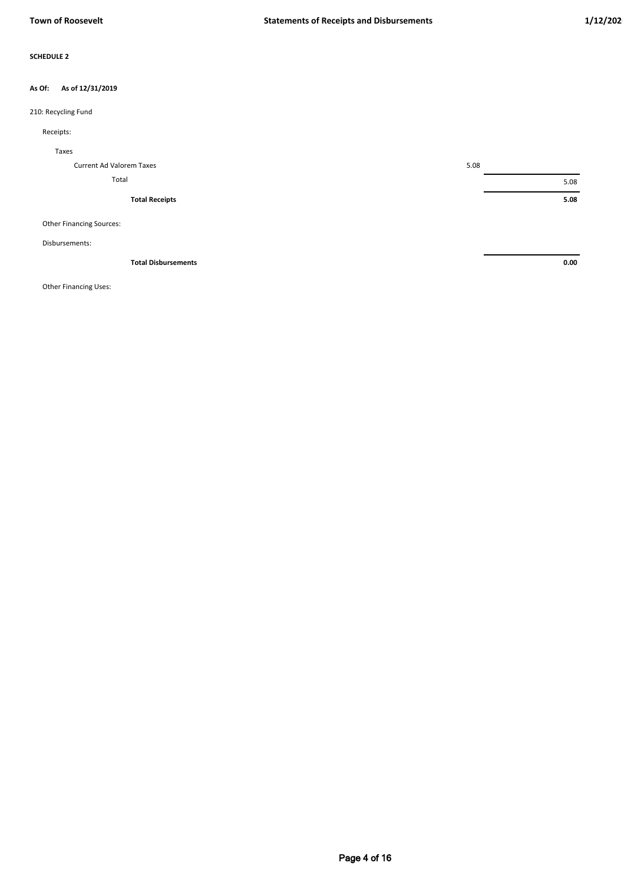### **As of 12/31/2019 As Of:**

## 210: Recycling Fund

## Receipts:

| Taxes                           |      |
|---------------------------------|------|
| Current Ad Valorem Taxes        | 5.08 |
| Total                           | 5.08 |
| <b>Total Receipts</b>           | 5.08 |
| <b>Other Financing Sources:</b> |      |

### Disbursements:

| <b>Total Disbursements</b> | 0.00<br>. |
|----------------------------|-----------|
|                            |           |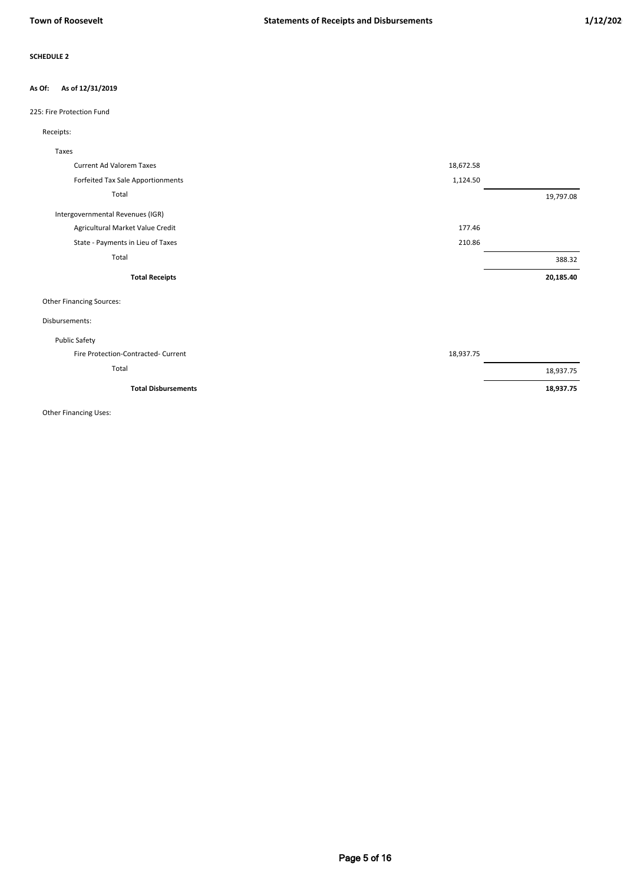### **As of 12/31/2019 As Of:**

## 225: Fire Protection Fund

## Receipts:

| Taxes                               |           |           |
|-------------------------------------|-----------|-----------|
| <b>Current Ad Valorem Taxes</b>     | 18,672.58 |           |
| Forfeited Tax Sale Apportionments   | 1,124.50  |           |
| Total                               |           | 19,797.08 |
| Intergovernmental Revenues (IGR)    |           |           |
| Agricultural Market Value Credit    | 177.46    |           |
| State - Payments in Lieu of Taxes   | 210.86    |           |
| Total                               |           | 388.32    |
| <b>Total Receipts</b>               |           | 20,185.40 |
| <b>Other Financing Sources:</b>     |           |           |
| Disbursements:                      |           |           |
| <b>Public Safety</b>                |           |           |
| Fire Protection-Contracted- Current | 18,937.75 |           |
| Total                               |           | 18,937.75 |
| <b>Total Disbursements</b>          |           | 18,937.75 |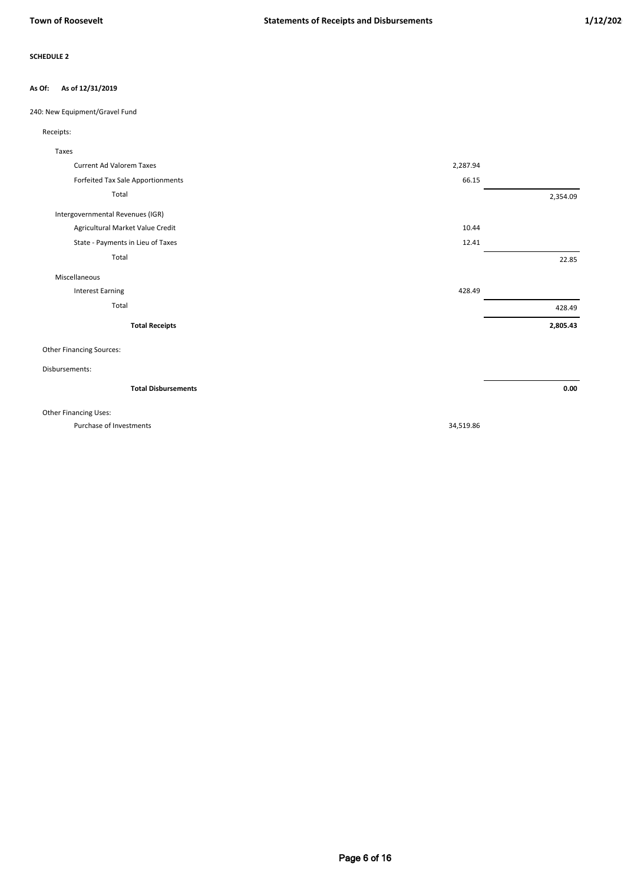#### **As of 12/31/2019 As Of:**

240: New Equipment/Gravel Fund

## Receipts:

| Taxes                             |          |          |
|-----------------------------------|----------|----------|
| <b>Current Ad Valorem Taxes</b>   | 2,287.94 |          |
| Forfeited Tax Sale Apportionments | 66.15    |          |
| Total                             |          | 2,354.09 |
| Intergovernmental Revenues (IGR)  |          |          |
| Agricultural Market Value Credit  | 10.44    |          |
| State - Payments in Lieu of Taxes | 12.41    |          |
| Total                             |          | 22.85    |
| Miscellaneous                     |          |          |
| <b>Interest Earning</b>           | 428.49   |          |
| Total                             |          | 428.49   |
| <b>Total Receipts</b>             |          | 2,805.43 |
| <b>Other Financing Sources:</b>   |          |          |
| Disbursements:                    |          |          |
| <b>Total Disbursements</b>        |          | 0.00     |

Other Financing Uses:

Purchase of Investments 34,519.86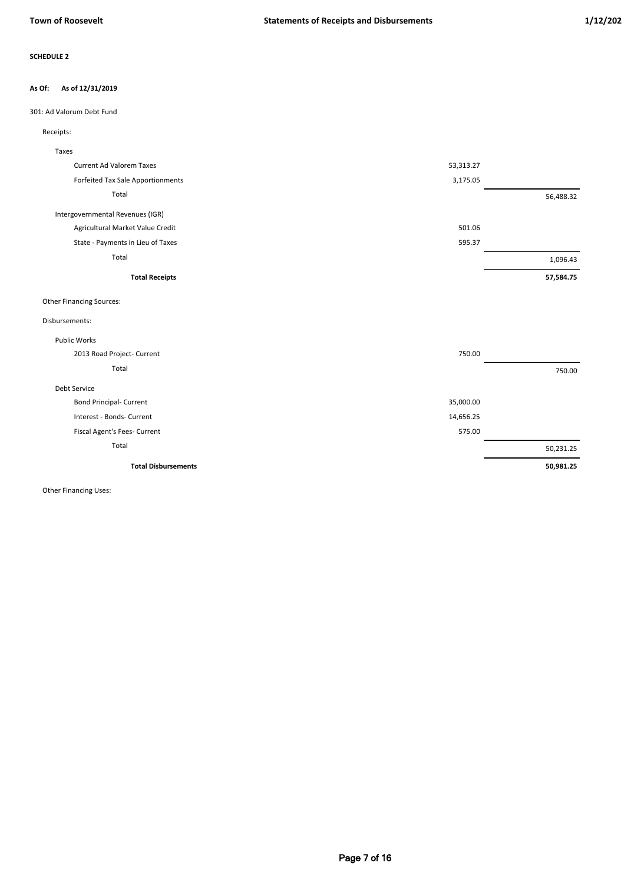### **As of 12/31/2019 As Of:**

## 301: Ad Valorum Debt Fund

| Receipts: |  |
|-----------|--|
|           |  |

| Taxes                             |           |           |
|-----------------------------------|-----------|-----------|
| <b>Current Ad Valorem Taxes</b>   | 53,313.27 |           |
| Forfeited Tax Sale Apportionments | 3,175.05  |           |
| Total                             |           | 56,488.32 |
| Intergovernmental Revenues (IGR)  |           |           |
| Agricultural Market Value Credit  | 501.06    |           |
| State - Payments in Lieu of Taxes | 595.37    |           |
| Total                             |           | 1,096.43  |
| <b>Total Receipts</b>             |           | 57,584.75 |
| <b>Other Financing Sources:</b>   |           |           |
| Disbursements:                    |           |           |
| <b>Public Works</b>               |           |           |
| 2013 Road Project- Current        | 750.00    |           |
| Total                             |           | 750.00    |
| Debt Service                      |           |           |
| <b>Bond Principal- Current</b>    | 35,000.00 |           |
| Interest - Bonds- Current         | 14,656.25 |           |
| Fiscal Agent's Fees- Current      | 575.00    |           |
| Total                             |           | 50,231.25 |
| <b>Total Disbursements</b>        |           | 50,981.25 |
|                                   |           |           |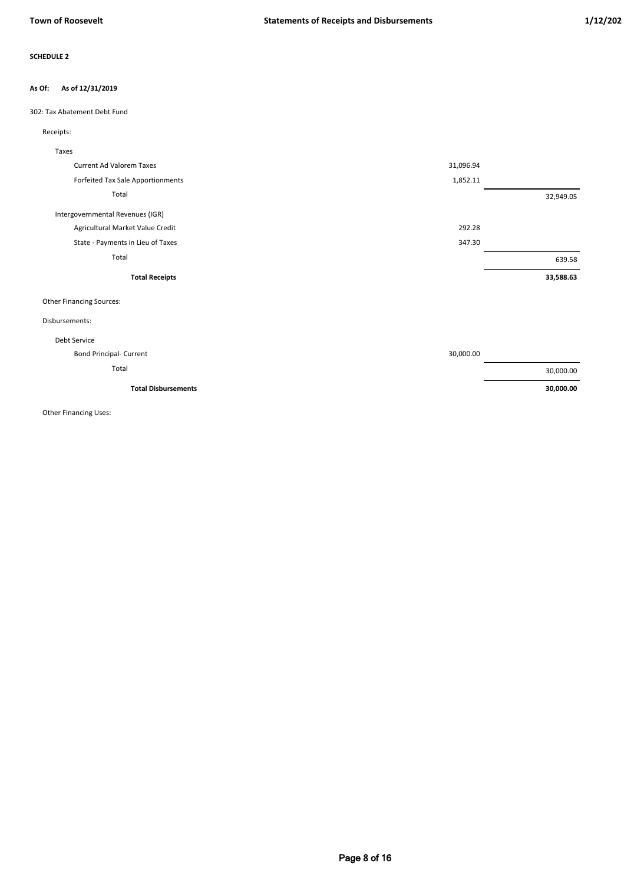### **As of 12/31/2019 As Of:**

302: Tax Abatement Debt Fund

## Receipts:

| Taxes                             |           |           |
|-----------------------------------|-----------|-----------|
| <b>Current Ad Valorem Taxes</b>   | 31,096.94 |           |
| Forfeited Tax Sale Apportionments | 1,852.11  |           |
| Total                             |           | 32,949.05 |
| Intergovernmental Revenues (IGR)  |           |           |
| Agricultural Market Value Credit  | 292.28    |           |
| State - Payments in Lieu of Taxes | 347.30    |           |
| Total                             |           | 639.58    |
|                                   |           |           |
| <b>Total Receipts</b>             |           | 33,588.63 |
| <b>Other Financing Sources:</b>   |           |           |
| Disbursements:                    |           |           |
| Debt Service                      |           |           |
| <b>Bond Principal- Current</b>    | 30,000.00 |           |
| Total                             |           | 30,000.00 |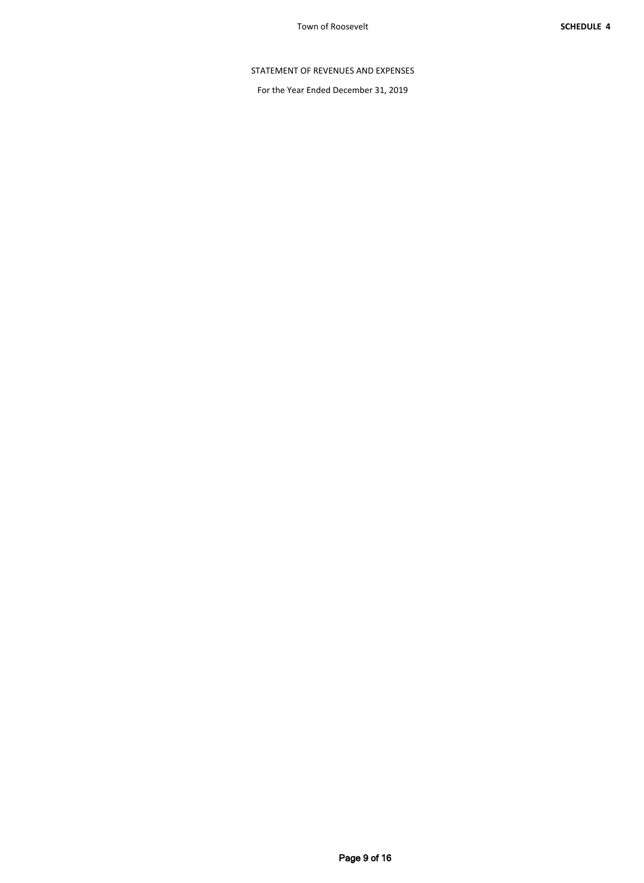# STATEMENT OF REVENUES AND EXPENSES

For the Year Ended December 31, 2019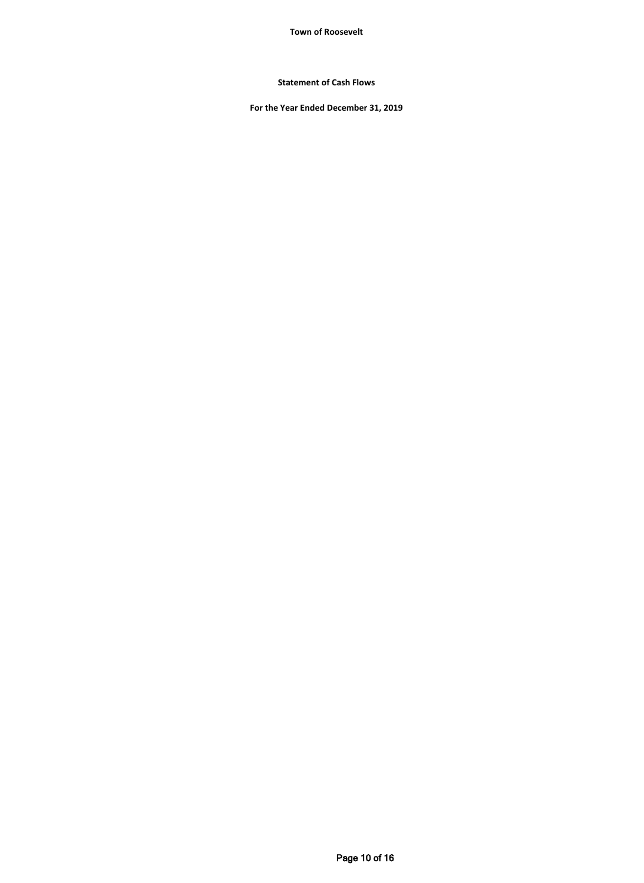**Town of Roosevelt**

**Statement of Cash Flows**

**For the Year Ended December 31, 2019**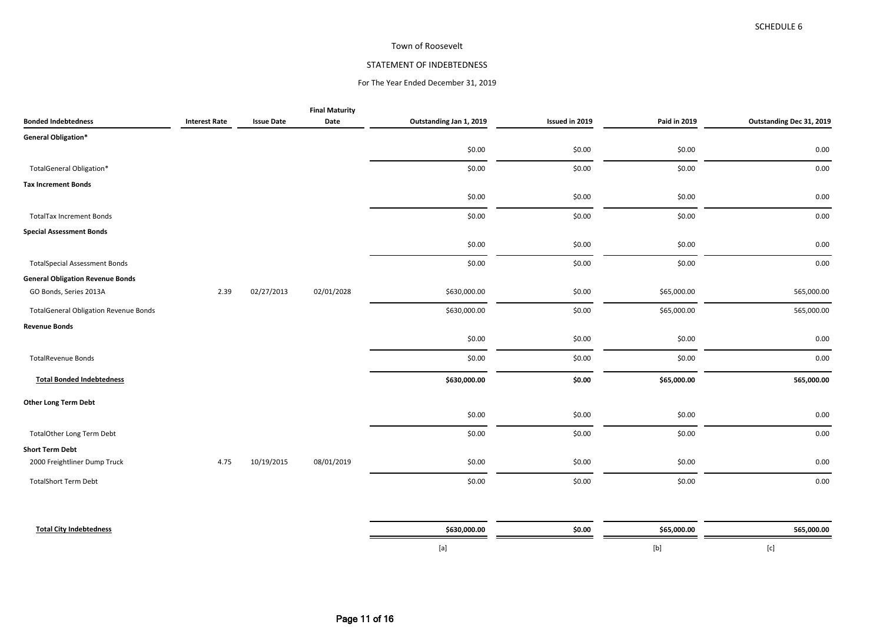## Town of Roosevelt

## STATEMENT OF INDEBTEDNESS

## For The Year Ended December 31, 2019

|                                              |                      |                   | <b>Final Maturity</b> |                         |                |              |                          |
|----------------------------------------------|----------------------|-------------------|-----------------------|-------------------------|----------------|--------------|--------------------------|
| <b>Bonded Indebtedness</b>                   | <b>Interest Rate</b> | <b>Issue Date</b> | Date                  | Outstanding Jan 1, 2019 | Issued in 2019 | Paid in 2019 | Outstanding Dec 31, 2019 |
| General Obligation*                          |                      |                   |                       |                         |                |              |                          |
|                                              |                      |                   |                       | \$0.00                  | \$0.00         | \$0.00       | 0.00                     |
| TotalGeneral Obligation*                     |                      |                   |                       | \$0.00                  | \$0.00         | \$0.00       | 0.00                     |
| <b>Tax Increment Bonds</b>                   |                      |                   |                       |                         |                |              |                          |
|                                              |                      |                   |                       | \$0.00                  | \$0.00         | \$0.00       | 0.00                     |
| <b>TotalTax Increment Bonds</b>              |                      |                   |                       | \$0.00                  | \$0.00         | \$0.00       | 0.00                     |
| <b>Special Assessment Bonds</b>              |                      |                   |                       |                         |                |              |                          |
|                                              |                      |                   |                       | \$0.00                  | \$0.00         | \$0.00       | 0.00                     |
| <b>TotalSpecial Assessment Bonds</b>         |                      |                   |                       | \$0.00                  | \$0.00         | \$0.00       | 0.00                     |
| <b>General Obligation Revenue Bonds</b>      |                      |                   |                       |                         |                |              |                          |
| GO Bonds, Series 2013A                       | 2.39                 | 02/27/2013        | 02/01/2028            | \$630,000.00            | \$0.00         | \$65,000.00  | 565,000.00               |
| <b>TotalGeneral Obligation Revenue Bonds</b> |                      |                   |                       | \$630,000.00            | \$0.00         | \$65,000.00  | 565,000.00               |
| <b>Revenue Bonds</b>                         |                      |                   |                       |                         |                |              |                          |
|                                              |                      |                   |                       | \$0.00                  | \$0.00         | \$0.00       | 0.00                     |
| <b>TotalRevenue Bonds</b>                    |                      |                   |                       | \$0.00                  | \$0.00         | \$0.00       | 0.00                     |
| <b>Total Bonded Indebtedness</b>             |                      |                   |                       | \$630,000.00            | \$0.00         | \$65,000.00  | 565,000.00               |
| <b>Other Long Term Debt</b>                  |                      |                   |                       |                         |                |              |                          |
|                                              |                      |                   |                       | \$0.00                  | \$0.00         | \$0.00       | 0.00                     |
| <b>TotalOther Long Term Debt</b>             |                      |                   |                       | \$0.00                  | \$0.00         | \$0.00       | 0.00                     |
| <b>Short Term Debt</b>                       |                      |                   |                       |                         |                |              |                          |
| 2000 Freightliner Dump Truck                 | 4.75                 | 10/19/2015        | 08/01/2019            | \$0.00                  | \$0.00         | \$0.00       | 0.00                     |
| <b>TotalShort Term Debt</b>                  |                      |                   |                       | \$0.00                  | \$0.00         | \$0.00       | 0.00                     |
|                                              |                      |                   |                       |                         |                |              |                          |
|                                              |                      |                   |                       |                         |                |              |                          |

| Total Ci.<br>----- | \$630.000.00 | cn.<br><b><i><u></u></i></b> | <b>.65.000.0L</b><br>565.I | .000.00 |
|--------------------|--------------|------------------------------|----------------------------|---------|
|                    |              |                              |                            |         |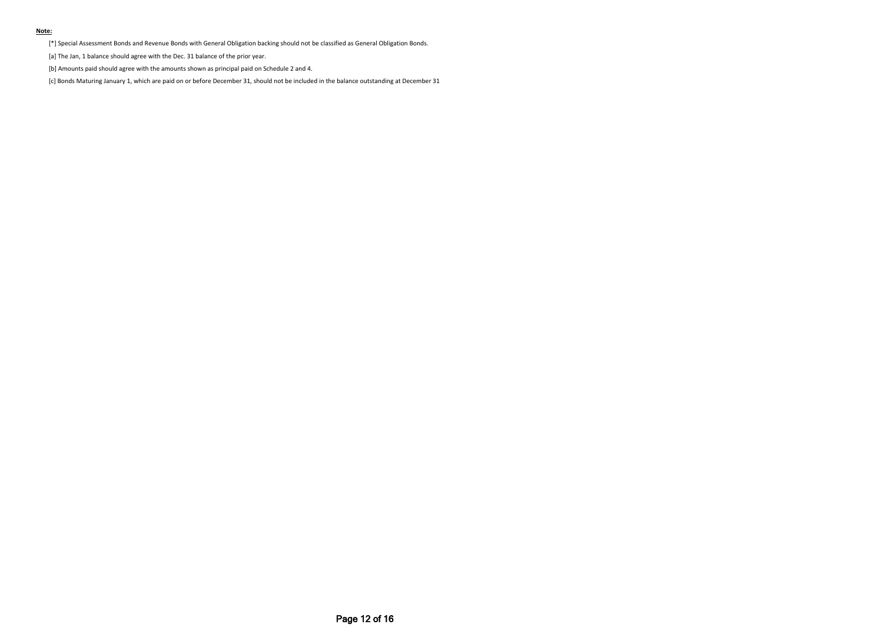#### **Note:**

[\*] Special Assessment Bonds and Revenue Bonds with General Obligation backing should not be classified as General Obligation Bonds.

[a] The Jan, 1 balance should agree with the Dec. 31 balance of the prior year.

[b] Amounts paid should agree with the amounts shown as principal paid on Schedule 2 and 4.

[c] Bonds Maturing January 1, which are paid on or before December 31, should not be included in the balance outstanding at December 31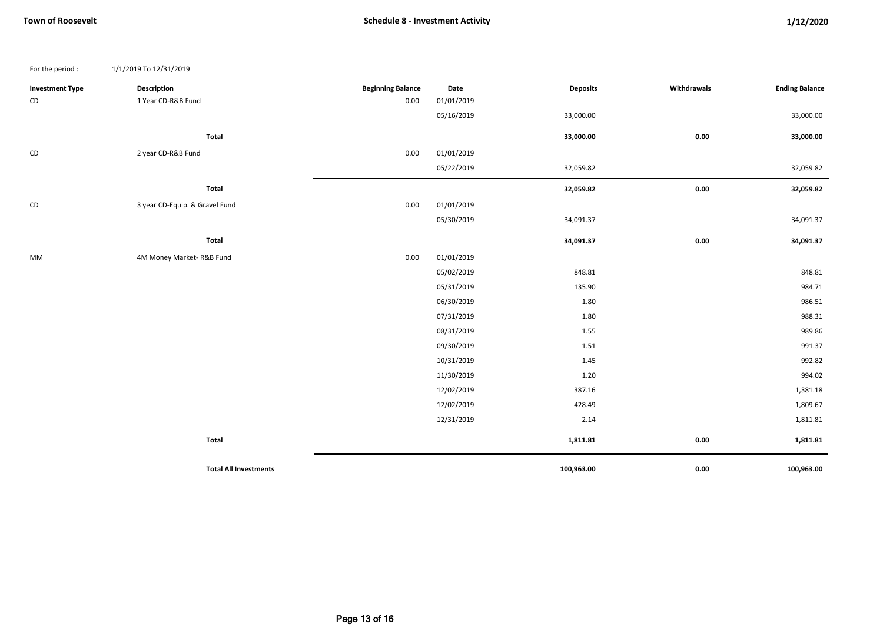| For the period :       | 1/1/2019 To 12/31/2019         |                          |            |                 |             |                       |
|------------------------|--------------------------------|--------------------------|------------|-----------------|-------------|-----------------------|
| <b>Investment Type</b> | <b>Description</b>             | <b>Beginning Balance</b> | Date       | <b>Deposits</b> | Withdrawals | <b>Ending Balance</b> |
| CD                     | 1 Year CD-R&B Fund             | 0.00                     | 01/01/2019 |                 |             |                       |
|                        |                                |                          | 05/16/2019 | 33,000.00       |             | 33,000.00             |
|                        | Total                          |                          |            | 33,000.00       | 0.00        | 33,000.00             |
| CD                     | 2 year CD-R&B Fund             | 0.00                     | 01/01/2019 |                 |             |                       |
|                        |                                |                          | 05/22/2019 | 32,059.82       |             | 32,059.82             |
|                        | Total                          |                          |            | 32,059.82       | 0.00        | 32,059.82             |
| CD                     | 3 year CD-Equip. & Gravel Fund | 0.00                     | 01/01/2019 |                 |             |                       |
|                        |                                |                          | 05/30/2019 | 34,091.37       |             | 34,091.37             |
|                        | Total                          |                          |            | 34,091.37       | $0.00\,$    | 34,091.37             |
| MM                     | 4M Money Market-R&B Fund       | 0.00                     | 01/01/2019 |                 |             |                       |
|                        |                                |                          | 05/02/2019 | 848.81          |             | 848.81                |
|                        |                                |                          | 05/31/2019 | 135.90          |             | 984.71                |
|                        |                                |                          | 06/30/2019 | 1.80            |             | 986.51                |
|                        |                                |                          | 07/31/2019 | 1.80            |             | 988.31                |
|                        |                                |                          | 08/31/2019 | 1.55            |             | 989.86                |
|                        |                                |                          | 09/30/2019 | 1.51            |             | 991.37                |
|                        |                                |                          | 10/31/2019 | 1.45            |             | 992.82                |
|                        |                                |                          | 11/30/2019 | 1.20            |             | 994.02                |
|                        |                                |                          | 12/02/2019 | 387.16          |             | 1,381.18              |
|                        |                                |                          | 12/02/2019 | 428.49          |             | 1,809.67              |
|                        |                                |                          | 12/31/2019 | 2.14            |             | 1,811.81              |
|                        | Total                          |                          |            | 1,811.81        | 0.00        | 1,811.81              |
|                        | <b>Total All Investments</b>   |                          |            | 100,963.00      | 0.00        | 100,963.00            |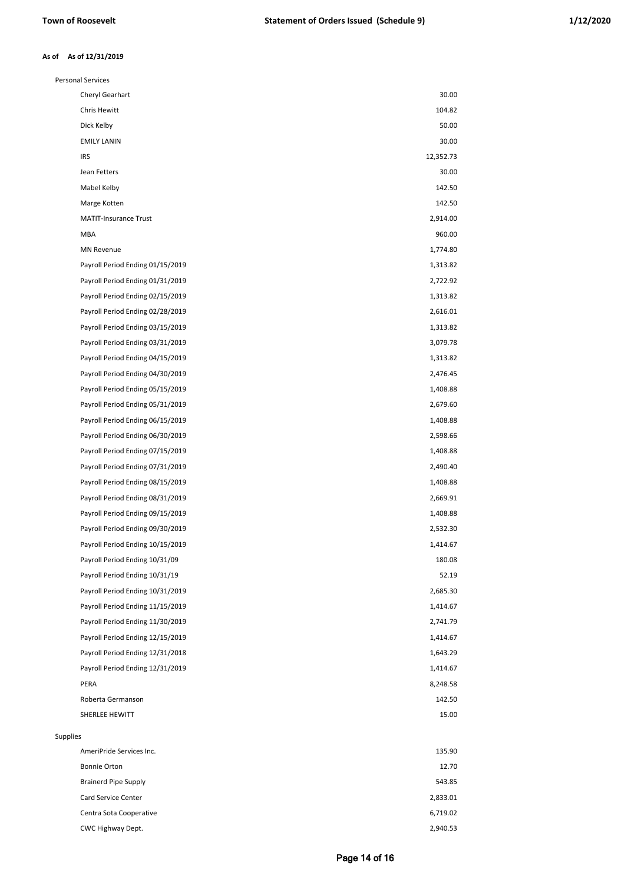#### **As of 12/31/2019 As of**

| <b>Personal Services</b>         |           |
|----------------------------------|-----------|
| Cheryl Gearhart                  | 30.00     |
| Chris Hewitt                     | 104.82    |
| Dick Kelby                       | 50.00     |
| <b>EMILY LANIN</b>               | 30.00     |
| <b>IRS</b>                       | 12,352.73 |
| Jean Fetters                     | 30.00     |
| Mabel Kelby                      | 142.50    |
| Marge Kotten                     | 142.50    |
| <b>MATIT-Insurance Trust</b>     | 2,914.00  |
| <b>MBA</b>                       | 960.00    |
| <b>MN Revenue</b>                | 1,774.80  |
| Payroll Period Ending 01/15/2019 | 1,313.82  |
| Payroll Period Ending 01/31/2019 | 2,722.92  |
| Payroll Period Ending 02/15/2019 | 1,313.82  |
| Payroll Period Ending 02/28/2019 | 2,616.01  |
| Payroll Period Ending 03/15/2019 | 1,313.82  |
| Payroll Period Ending 03/31/2019 | 3,079.78  |
| Payroll Period Ending 04/15/2019 | 1,313.82  |
| Payroll Period Ending 04/30/2019 | 2,476.45  |
| Payroll Period Ending 05/15/2019 | 1,408.88  |
| Payroll Period Ending 05/31/2019 | 2,679.60  |
| Payroll Period Ending 06/15/2019 | 1,408.88  |
| Payroll Period Ending 06/30/2019 | 2,598.66  |
| Payroll Period Ending 07/15/2019 | 1,408.88  |
| Payroll Period Ending 07/31/2019 | 2,490.40  |
| Payroll Period Ending 08/15/2019 | 1,408.88  |
| Payroll Period Ending 08/31/2019 | 2,669.91  |
| Payroll Period Ending 09/15/2019 | 1,408.88  |
| Payroll Period Ending 09/30/2019 | 2,532.30  |
| Payroll Period Ending 10/15/2019 | 1,414.67  |
| Payroll Period Ending 10/31/09   | 180.08    |
| Payroll Period Ending 10/31/19   | 52.19     |
| Payroll Period Ending 10/31/2019 | 2,685.30  |
| Payroll Period Ending 11/15/2019 | 1,414.67  |
| Payroll Period Ending 11/30/2019 | 2,741.79  |
| Payroll Period Ending 12/15/2019 | 1,414.67  |
| Payroll Period Ending 12/31/2018 | 1,643.29  |
| Payroll Period Ending 12/31/2019 | 1,414.67  |
| PERA                             | 8,248.58  |
| Roberta Germanson                | 142.50    |
| SHERLEE HEWITT                   | 15.00     |
|                                  |           |
| <b>Supplies</b>                  |           |
| AmeriPride Services Inc.         | 135.90    |
| <b>Bonnie Orton</b>              | 12.70     |
| <b>Brainerd Pipe Supply</b>      | 543.85    |
| Card Service Center              | 2,833.01  |
| Centra Sota Cooperative          | 6,719.02  |
| CWC Highway Dept.                | 2,940.53  |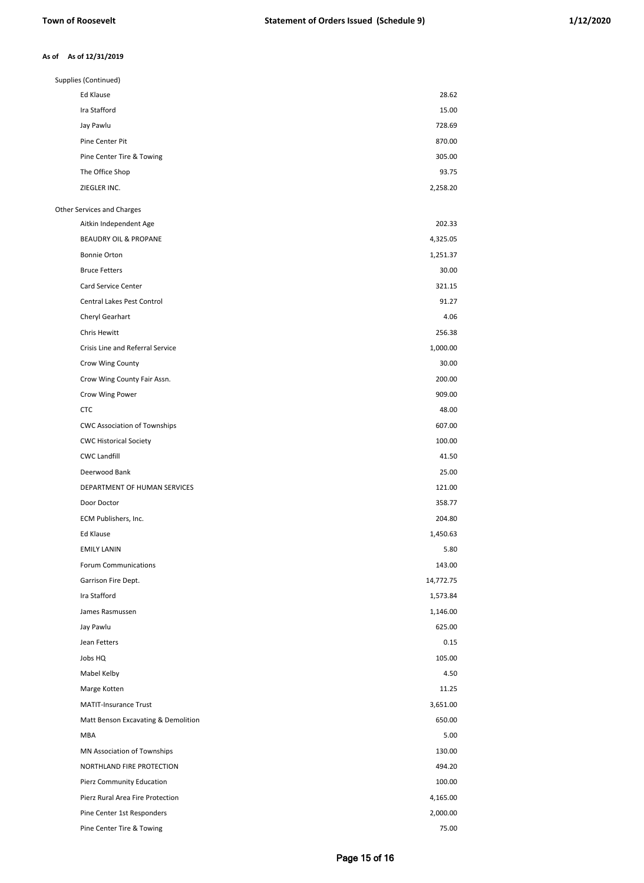#### **As of 12/31/2019 As of**

| Supplies (Continued)                    |           |
|-----------------------------------------|-----------|
| Ed Klause                               | 28.62     |
| Ira Stafford                            | 15.00     |
| Jay Pawlu                               | 728.69    |
| Pine Center Pit                         | 870.00    |
| Pine Center Tire & Towing               | 305.00    |
| The Office Shop                         | 93.75     |
| ZIEGLER INC.                            | 2,258.20  |
| Other Services and Charges              |           |
| Aitkin Independent Age                  | 202.33    |
| <b>BEAUDRY OIL &amp; PROPANE</b>        | 4,325.05  |
| Bonnie Orton                            | 1,251.37  |
| <b>Bruce Fetters</b>                    | 30.00     |
| Card Service Center                     | 321.15    |
| Central Lakes Pest Control              | 91.27     |
| Cheryl Gearhart                         | 4.06      |
| Chris Hewitt                            | 256.38    |
| <b>Crisis Line and Referral Service</b> | 1,000.00  |
| Crow Wing County                        | 30.00     |
| Crow Wing County Fair Assn.             | 200.00    |
| Crow Wing Power                         | 909.00    |
| <b>CTC</b>                              | 48.00     |
| <b>CWC Association of Townships</b>     | 607.00    |
| <b>CWC Historical Society</b>           | 100.00    |
| <b>CWC Landfill</b>                     | 41.50     |
| Deerwood Bank                           | 25.00     |
| DEPARTMENT OF HUMAN SERVICES            | 121.00    |
| Door Doctor                             | 358.77    |
| ECM Publishers, Inc.                    | 204.80    |
| Ed Klause                               | 1,450.63  |
| <b>EMILY LANIN</b>                      | 5.80      |
| Forum Communications                    | 143.00    |
| Garrison Fire Dept.                     | 14,772.75 |
| Ira Stafford                            | 1,573.84  |
| James Rasmussen                         | 1,146.00  |
| Jay Pawlu                               | 625.00    |
| Jean Fetters                            | 0.15      |
| Jobs HQ                                 | 105.00    |
| Mabel Kelby                             | 4.50      |
| Marge Kotten                            | 11.25     |
| <b>MATIT-Insurance Trust</b>            | 3,651.00  |
| Matt Benson Excavating & Demolition     | 650.00    |
| MBA                                     | 5.00      |
| MN Association of Townships             | 130.00    |
| NORTHLAND FIRE PROTECTION               | 494.20    |
| Pierz Community Education               | 100.00    |
| Pierz Rural Area Fire Protection        | 4,165.00  |
| Pine Center 1st Responders              | 2,000.00  |
| Pine Center Tire & Towing               | 75.00     |